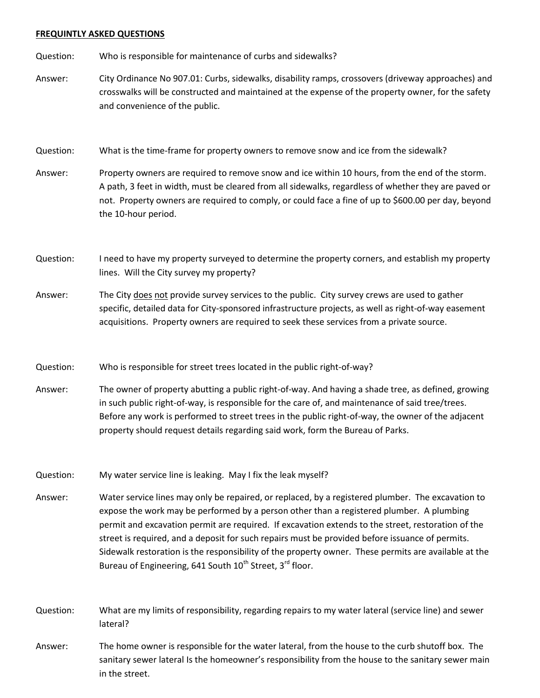## **FREQUINTLY ASKED QUESTIONS**

Question: Who is responsible for maintenance of curbs and sidewalks?

Answer: City Ordinance No 907.01: Curbs, sidewalks, disability ramps, crossovers (driveway approaches) and crosswalks will be constructed and maintained at the expense of the property owner, for the safety and convenience of the public.

Question: What is the time-frame for property owners to remove snow and ice from the sidewalk?

Answer: Property owners are required to remove snow and ice within 10 hours, from the end of the storm. A path, 3 feet in width, must be cleared from all sidewalks, regardless of whether they are paved or not. Property owners are required to comply, or could face a fine of up to \$600.00 per day, beyond the 10-hour period.

Question: I need to have my property surveyed to determine the property corners, and establish my property lines. Will the City survey my property?

Answer: The City does not provide survey services to the public. City survey crews are used to gather specific, detailed data for City-sponsored infrastructure projects, as well as right-of-way easement acquisitions. Property owners are required to seek these services from a private source.

Question: Who is responsible for street trees located in the public right-of-way?

Answer: The owner of property abutting a public right-of-way. And having a shade tree, as defined, growing in such public right-of-way, is responsible for the care of, and maintenance of said tree/trees. Before any work is performed to street trees in the public right-of-way, the owner of the adjacent property should request details regarding said work, form the Bureau of Parks.

Question: My water service line is leaking. May I fix the leak myself?

Answer: Water service lines may only be repaired, or replaced, by a registered plumber. The excavation to expose the work may be performed by a person other than a registered plumber. A plumbing permit and excavation permit are required. If excavation extends to the street, restoration of the street is required, and a deposit for such repairs must be provided before issuance of permits. Sidewalk restoration is the responsibility of the property owner. These permits are available at the Bureau of Engineering, 641 South  $10^{th}$  Street, 3<sup>rd</sup> floor.

Question: What are my limits of responsibility, regarding repairs to my water lateral (service line) and sewer lateral?

Answer: The home owner is responsible for the water lateral, from the house to the curb shutoff box. The sanitary sewer lateral Is the homeowner's responsibility from the house to the sanitary sewer main in the street.